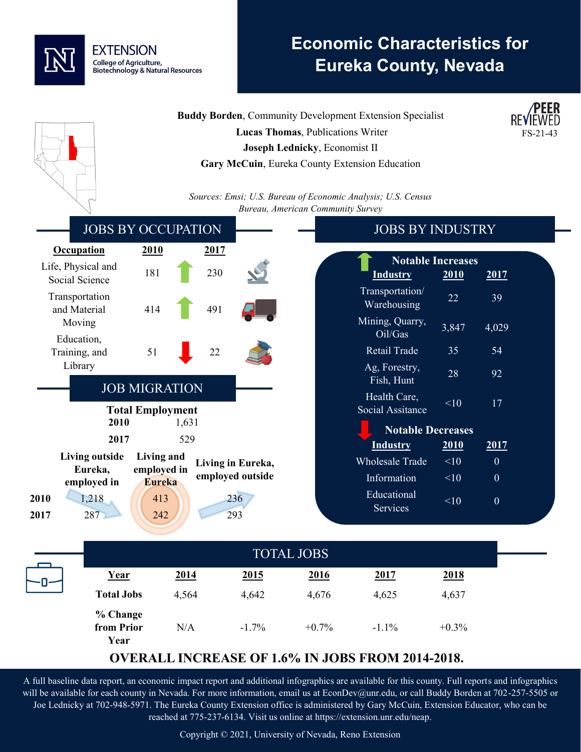

# **Economic Characteristics for Eureka County, Nevada**

FS-21-43 **Buddy Borden**, Community Development Extension Specialist  **Lucas Thomas**, Publications Writer **Joseph Lednicky**, Economist II **Gary McCuin**, Eureka County Extension Education *Sources: Emsi; U.S. Bureau of Economic Analysis; U.S. Census Bureau, American Community Survey* JOBS BY OCCUPATION **Occupation 2010 2017** Life, Physical and Social Science 181 230 Transportation and Material Moving 414 491 Education, Training, and Library 51 22 JOB MIGRATION **Total Employment 2010** 1,631 **2017** 529 **Living outside Eureka, employed in Living and employed in Eureka Living in Eureka, employed outside 2010** 1,218 413 236 **2017** 287 242 293 JOBS BY INDUSTRY **Notable Increases Industry 2010 2017** Transportation/ Example 12<br>Warehousing 22 39 Mining, Quarry,  $\frac{m}{\text{Si}}$ ,  $\frac{\text{Quary}}{3,847}$  4,029 Retail Trade 35 54 Ag, Forestry, Fish, Hunt  $28$  92 Health Care, Social Assitance  $\frac{10}{17}$ **Notable Decreases Industry 2010 2017** Wholesale Trade  $\leq 10$  0 Information  $\leq 10$  0 Educational Services  $<10$  0 TOTAL JOBS

| <b>TOTAL JOBS</b>              |       |         |         |             |          |
|--------------------------------|-------|---------|---------|-------------|----------|
| Year                           | 2014  | 2015    | 2016    | <u>2017</u> | 2018     |
| <b>Total Jobs</b>              | 4,564 | 4,642   | 4,676   | 4,625       | 4,637    |
| % Change<br>from Prior<br>Year | N/A   | $-1.7%$ | $+0.7%$ | $-1.1\%$    | $+0.3\%$ |

## **OVERALL INCREASE OF 1.6% IN JOBS FROM 2014-2018.**

A full baseline data report, an economic impact report and additional infographics are available for this county. Full reports and infographics will be available for each county in Nevada. For more information, email us at EconDev@unr.edu, or call Buddy Borden at 702-257-5505 or Joe Lednicky at 702-948-5971. The Eureka County Extension office is administered by Gary McCuin, Extension Educator, who can be reached at 775-237-6134. Visit us online at https://extension.unr.edu/neap.